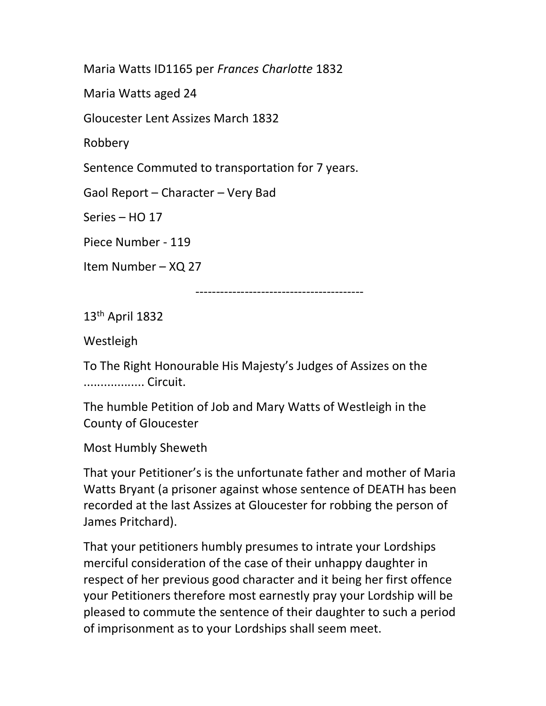Maria Watts ID1165 per Frances Charlotte 1832

Maria Watts aged 24

Gloucester Lent Assizes March 1832

Robbery

Sentence Commuted to transportation for 7 years.

Gaol Report – Character – Very Bad

Series – HO 17

Piece Number - 119

Item Number – XQ 27

-----------------------------------------

13th April 1832

Westleigh

To The Right Honourable His Majesty's Judges of Assizes on the .................. Circuit.

The humble Petition of Job and Mary Watts of Westleigh in the County of Gloucester

Most Humbly Sheweth

That your Petitioner's is the unfortunate father and mother of Maria Watts Bryant (a prisoner against whose sentence of DEATH has been recorded at the last Assizes at Gloucester for robbing the person of James Pritchard).

That your petitioners humbly presumes to intrate your Lordships merciful consideration of the case of their unhappy daughter in respect of her previous good character and it being her first offence your Petitioners therefore most earnestly pray your Lordship will be pleased to commute the sentence of their daughter to such a period of imprisonment as to your Lordships shall seem meet.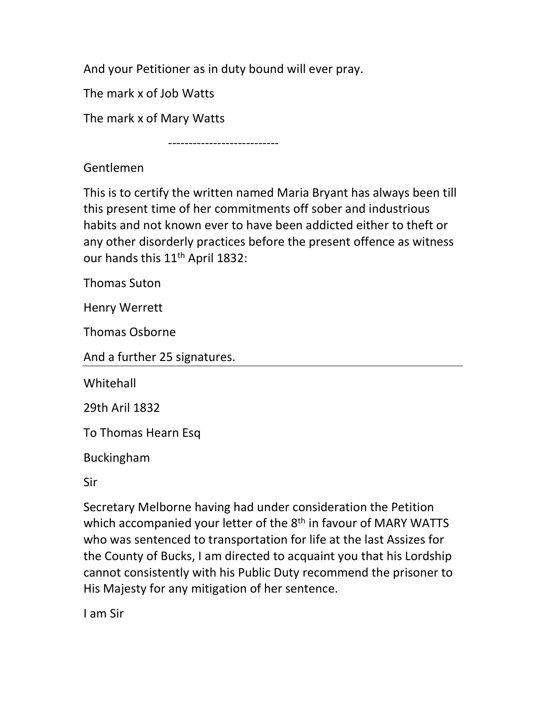And your Petitioner as in duty bound will ever pray.

The mark x of Job Watts

The mark x of Mary Watts

---------------------------

Gentlemen

This is to certify the written named Maria Bryant has always been till this present time of her commitments off sober and industrious habits and not known ever to have been addicted either to theft or any other disorderly practices before the present offence as witness our hands this 11<sup>th</sup> April 1832:

Thomas Suton

Henry Werrett

Thomas Osborne

And a further 25 signatures.

**Whitehall** 

29th Aril 1832

To Thomas Hearn Esq

Buckingham

Sir

Secretary Melborne having had under consideration the Petition which accompanied your letter of the 8<sup>th</sup> in favour of MARY WATTS who was sentenced to transportation for life at the last Assizes for the County of Bucks, I am directed to acquaint you that his Lordship cannot consistently with his Public Duty recommend the prisoner to His Majesty for any mitigation of her sentence.

I am Sir